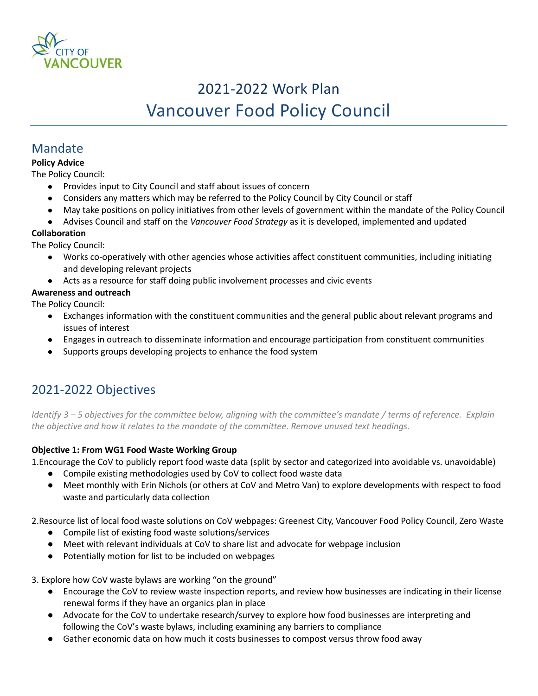

# 2021-2022 Work Plan Vancouver Food Policy Council

### Mandate

#### **Policy Advice**

The Policy Council:

- Provides input to City Council and staff about issues of concern
- Considers any matters which may be referred to the Policy Council by City Council or staff
- May take positions on policy initiatives from other levels of government within the mandate of the Policy Council
- Advises Council and staff on the *Vancouver Food Strategy* as it is developed, implemented and updated

#### **Collaboration**

The Policy Council:

- Works co-operatively with other agencies whose activities affect constituent communities, including initiating and developing relevant projects
- Acts as a resource for staff doing public involvement processes and civic events

#### **Awareness and outreach**

The Policy Council:

- Exchanges information with the constituent communities and the general public about relevant programs and issues of interest
- Engages in outreach to disseminate information and encourage participation from constituent communities
- Supports groups developing projects to enhance the food system

## 2021-2022 Objectives

*Identify 3 – 5 objectives for the committee below, aligning with the committee's mandate / terms of reference. Explain the objective and how it relates to the mandate of the committee. Remove unused text headings.*

#### **Objective 1: From WG1 Food Waste Working Group**

1.Encourage the CoV to publicly report food waste data (split by sector and categorized into avoidable vs. unavoidable)

- Compile existing methodologies used by CoV to collect food waste data
- Meet monthly with Erin Nichols (or others at CoV and Metro Van) to explore developments with respect to food waste and particularly data collection

2.Resource list of local food waste solutions on CoV webpages: Greenest City, Vancouver Food Policy Council, Zero Waste

- Compile list of existing food waste solutions/services
- Meet with relevant individuals at CoV to share list and advocate for webpage inclusion
- Potentially motion for list to be included on webpages

3. Explore how CoV waste bylaws are working "on the ground"

- Encourage the CoV to review waste inspection reports, and review how businesses are indicating in their license renewal forms if they have an organics plan in place
- Advocate for the CoV to undertake research/survey to explore how food businesses are interpreting and following the CoV's waste bylaws, including examining any barriers to compliance
- Gather economic data on how much it costs businesses to compost versus throw food away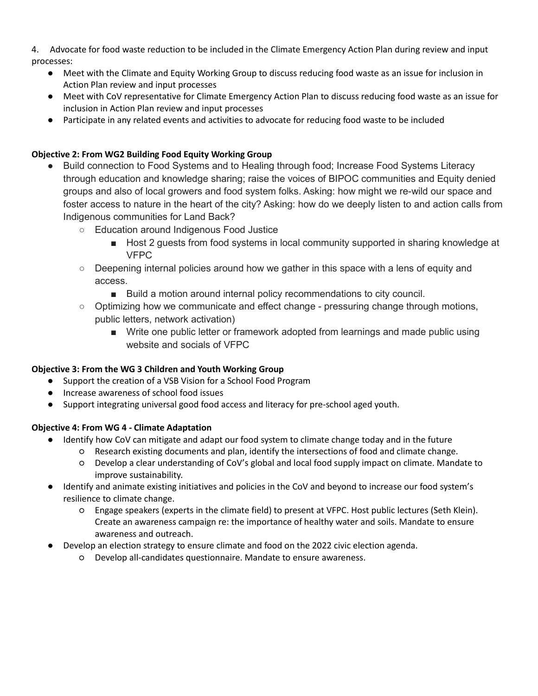4. Advocate for food waste reduction to be included in the Climate Emergency Action Plan during review and input processes:

- Meet with the Climate and Equity Working Group to discuss reducing food waste as an issue for inclusion in Action Plan review and input processes
- Meet with CoV representative for Climate Emergency Action Plan to discuss reducing food waste as an issue for inclusion in Action Plan review and input processes
- Participate in any related events and activities to advocate for reducing food waste to be included

#### **Objective 2: From WG2 Building Food Equity Working Group**

- Build connection to Food Systems and to Healing through food; Increase Food Systems Literacy through education and knowledge sharing; raise the voices of BIPOC communities and Equity denied groups and also of local growers and food system folks. Asking: how might we re-wild our space and foster access to nature in the heart of the city? Asking: how do we deeply listen to and action calls from Indigenous communities for Land Back?
	- Education around Indigenous Food Justice
		- Host 2 guests from food systems in local community supported in sharing knowledge at VFPC
	- Deepening internal policies around how we gather in this space with a lens of equity and access.
		- Build a motion around internal policy recommendations to city council.
	- $\circ$  Optimizing how we communicate and effect change pressuring change through motions, public letters, network activation)
		- Write one public letter or framework adopted from learnings and made public using website and socials of VFPC

#### **Objective 3: From the WG 3 Children and Youth Working Group**

- Support the creation of a VSB Vision for a School Food Program
- Increase awareness of school food issues
- Support integrating universal good food access and literacy for pre-school aged youth.

#### **Objective 4: From WG 4 - Climate Adaptation**

- Identify how CoV can mitigate and adapt our food system to climate change today and in the future
	- Research existing documents and plan, identify the intersections of food and climate change.
	- Develop a clear understanding of CoV's global and local food supply impact on climate. Mandate to improve sustainability.
- Identify and animate existing initiatives and policies in the CoV and beyond to increase our food system's resilience to climate change.
	- Engage speakers (experts in the climate field) to present at VFPC. Host public lectures (Seth Klein). Create an awareness campaign re: the importance of healthy water and soils. Mandate to ensure awareness and outreach.
- Develop an election strategy to ensure climate and food on the 2022 civic election agenda.
	- Develop all-candidates questionnaire. Mandate to ensure awareness.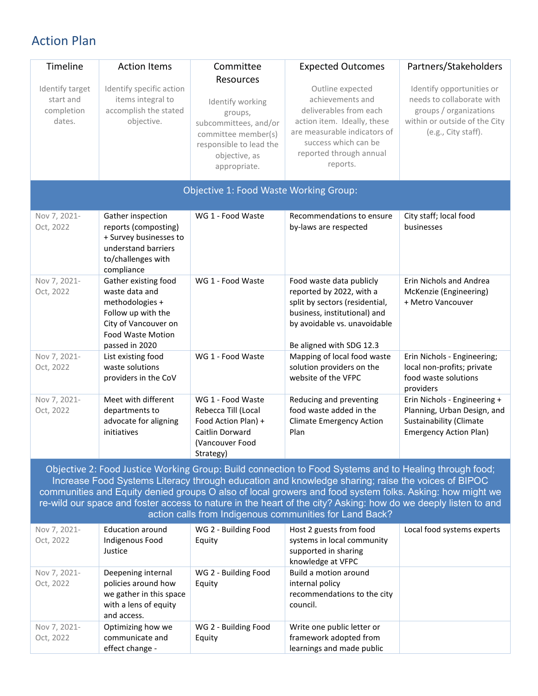## Action Plan

| Timeline                                                                                                                                                                                                                                                                                                                                                                                                                                                                                             | <b>Action Items</b>                                                                                                                            | Committee                                                                                                                                            | <b>Expected Outcomes</b>                                                                                                                                                                     | Partners/Stakeholders                                                                                                                    |  |  |  |  |
|------------------------------------------------------------------------------------------------------------------------------------------------------------------------------------------------------------------------------------------------------------------------------------------------------------------------------------------------------------------------------------------------------------------------------------------------------------------------------------------------------|------------------------------------------------------------------------------------------------------------------------------------------------|------------------------------------------------------------------------------------------------------------------------------------------------------|----------------------------------------------------------------------------------------------------------------------------------------------------------------------------------------------|------------------------------------------------------------------------------------------------------------------------------------------|--|--|--|--|
| Identify target<br>start and<br>completion<br>dates.                                                                                                                                                                                                                                                                                                                                                                                                                                                 | Identify specific action<br>items integral to<br>accomplish the stated<br>objective.                                                           | Resources<br>Identify working<br>groups,<br>subcommittees, and/or<br>committee member(s)<br>responsible to lead the<br>objective, as<br>appropriate. | Outline expected<br>achievements and<br>deliverables from each<br>action item. Ideally, these<br>are measurable indicators of<br>success which can be<br>reported through annual<br>reports. | Identify opportunities or<br>needs to collaborate with<br>groups / organizations<br>within or outside of the City<br>(e.g., City staff). |  |  |  |  |
| <b>Objective 1: Food Waste Working Group:</b>                                                                                                                                                                                                                                                                                                                                                                                                                                                        |                                                                                                                                                |                                                                                                                                                      |                                                                                                                                                                                              |                                                                                                                                          |  |  |  |  |
| Nov 7, 2021-<br>Oct, 2022                                                                                                                                                                                                                                                                                                                                                                                                                                                                            | Gather inspection<br>reports (composting)<br>+ Survey businesses to<br>understand barriers<br>to/challenges with<br>compliance                 | WG 1 - Food Waste                                                                                                                                    | Recommendations to ensure<br>by-laws are respected                                                                                                                                           | City staff; local food<br>businesses                                                                                                     |  |  |  |  |
| Nov 7, 2021-<br>Oct, 2022                                                                                                                                                                                                                                                                                                                                                                                                                                                                            | Gather existing food<br>waste data and<br>methodologies +<br>Follow up with the<br>City of Vancouver on<br>Food Waste Motion<br>passed in 2020 | WG 1 - Food Waste                                                                                                                                    | Food waste data publicly<br>reported by 2022, with a<br>split by sectors (residential,<br>business, institutional) and<br>by avoidable vs. unavoidable<br>Be aligned with SDG 12.3           | Erin Nichols and Andrea<br>McKenzie (Engineering)<br>+ Metro Vancouver                                                                   |  |  |  |  |
| Nov 7, 2021-<br>Oct, 2022                                                                                                                                                                                                                                                                                                                                                                                                                                                                            | List existing food<br>waste solutions<br>providers in the CoV                                                                                  | WG 1 - Food Waste                                                                                                                                    | Mapping of local food waste<br>solution providers on the<br>website of the VFPC                                                                                                              | Erin Nichols - Engineering;<br>local non-profits; private<br>food waste solutions<br>providers                                           |  |  |  |  |
| Nov 7, 2021-<br>Oct, 2022                                                                                                                                                                                                                                                                                                                                                                                                                                                                            | Meet with different<br>departments to<br>advocate for aligning<br>initiatives                                                                  | WG 1 - Food Waste<br>Rebecca Till (Local<br>Food Action Plan) +<br>Caitlin Dorward<br>(Vancouver Food<br>Strategy)                                   | Reducing and preventing<br>food waste added in the<br><b>Climate Emergency Action</b><br>Plan                                                                                                | Erin Nichols - Engineering +<br>Planning, Urban Design, and<br><b>Sustainability (Climate</b><br><b>Emergency Action Plan)</b>           |  |  |  |  |
| Objective 2: Food Justice Working Group: Build connection to Food Systems and to Healing through food;<br>Increase Food Systems Literacy through education and knowledge sharing; raise the voices of BIPOC<br>communities and Equity denied groups O also of local growers and food system folks. Asking: how might we<br>re-wild our space and foster access to nature in the heart of the city? Asking: how do we deeply listen to and<br>action calls from Indigenous communities for Land Back? |                                                                                                                                                |                                                                                                                                                      |                                                                                                                                                                                              |                                                                                                                                          |  |  |  |  |
| Nov 7, 2021-<br>Oct, 2022                                                                                                                                                                                                                                                                                                                                                                                                                                                                            | <b>Education around</b><br>Indigenous Food<br>Justice                                                                                          | WG 2 - Building Food<br>Equity                                                                                                                       | Host 2 guests from food<br>systems in local community<br>supported in sharing<br>knowledge at VFPC                                                                                           | Local food systems experts                                                                                                               |  |  |  |  |
| Nov 7, 2021-<br>Oct, 2022                                                                                                                                                                                                                                                                                                                                                                                                                                                                            | Deepening internal<br>policies around how<br>we gather in this space<br>with a lens of equity<br>and access.                                   | WG 2 - Building Food<br>Equity                                                                                                                       | Build a motion around<br>internal policy<br>recommendations to the city<br>council.                                                                                                          |                                                                                                                                          |  |  |  |  |
| Nov 7, 2021-<br>Oct, 2022                                                                                                                                                                                                                                                                                                                                                                                                                                                                            | Optimizing how we<br>communicate and<br>effect change -                                                                                        | WG 2 - Building Food<br>Equity                                                                                                                       | Write one public letter or<br>framework adopted from<br>learnings and made public                                                                                                            |                                                                                                                                          |  |  |  |  |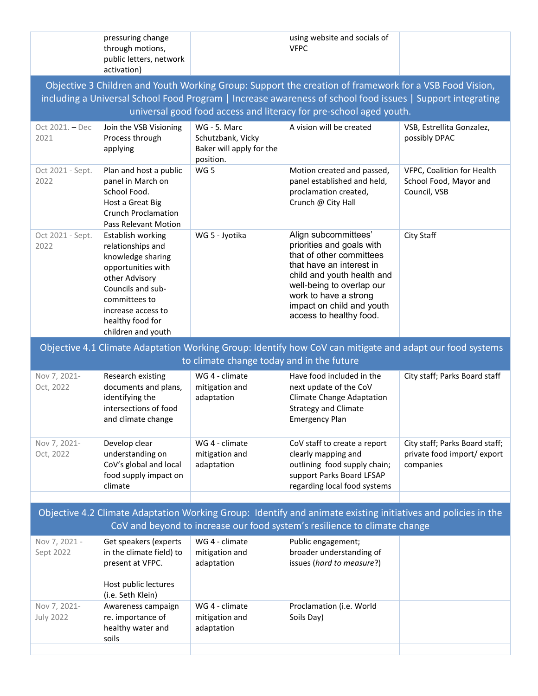|                                                                                                                                                                                            | pressuring change                                                                                                                                                                                         |                                                            | using website and socials of                                                                                                                                                                                                                          |                                                                            |  |  |  |
|--------------------------------------------------------------------------------------------------------------------------------------------------------------------------------------------|-----------------------------------------------------------------------------------------------------------------------------------------------------------------------------------------------------------|------------------------------------------------------------|-------------------------------------------------------------------------------------------------------------------------------------------------------------------------------------------------------------------------------------------------------|----------------------------------------------------------------------------|--|--|--|
|                                                                                                                                                                                            | through motions,<br>public letters, network                                                                                                                                                               |                                                            | <b>VFPC</b>                                                                                                                                                                                                                                           |                                                                            |  |  |  |
|                                                                                                                                                                                            | activation)                                                                                                                                                                                               |                                                            |                                                                                                                                                                                                                                                       |                                                                            |  |  |  |
| Objective 3 Children and Youth Working Group: Support the creation of framework for a VSB Food Vision,                                                                                     |                                                                                                                                                                                                           |                                                            |                                                                                                                                                                                                                                                       |                                                                            |  |  |  |
| including a Universal School Food Program   Increase awareness of school food issues   Support integrating                                                                                 |                                                                                                                                                                                                           |                                                            |                                                                                                                                                                                                                                                       |                                                                            |  |  |  |
| universal good food access and literacy for pre-school aged youth.                                                                                                                         |                                                                                                                                                                                                           |                                                            |                                                                                                                                                                                                                                                       |                                                                            |  |  |  |
| Oct 2021. - Dec                                                                                                                                                                            | Join the VSB Visioning                                                                                                                                                                                    | WG - 5. Marc                                               | A vision will be created                                                                                                                                                                                                                              | VSB, Estrellita Gonzalez,                                                  |  |  |  |
| 2021                                                                                                                                                                                       | Process through<br>applying                                                                                                                                                                               | Schutzbank, Vicky<br>Baker will apply for the<br>position. |                                                                                                                                                                                                                                                       | possibly DPAC                                                              |  |  |  |
| Oct 2021 - Sept.<br>2022                                                                                                                                                                   | Plan and host a public<br>panel in March on<br>School Food.<br>Host a Great Big<br><b>Crunch Proclamation</b><br>Pass Relevant Motion                                                                     | WG <sub>5</sub>                                            | Motion created and passed,<br>panel established and held,<br>proclamation created,<br>Crunch @ City Hall                                                                                                                                              | VFPC, Coalition for Health<br>School Food, Mayor and<br>Council, VSB       |  |  |  |
| Oct 2021 - Sept.<br>2022                                                                                                                                                                   | Establish working<br>relationships and<br>knowledge sharing<br>opportunities with<br>other Advisory<br>Councils and sub-<br>committees to<br>increase access to<br>healthy food for<br>children and youth | WG 5 - Jyotika                                             | Align subcommittees'<br>priorities and goals with<br>that of other committees<br>that have an interest in<br>child and youth health and<br>well-being to overlap our<br>work to have a strong<br>impact on child and youth<br>access to healthy food. | City Staff                                                                 |  |  |  |
|                                                                                                                                                                                            |                                                                                                                                                                                                           |                                                            | Objective 4.1 Climate Adaptation Working Group: Identify how CoV can mitigate and adapt our food systems                                                                                                                                              |                                                                            |  |  |  |
|                                                                                                                                                                                            |                                                                                                                                                                                                           | to climate change today and in the future                  |                                                                                                                                                                                                                                                       |                                                                            |  |  |  |
| Nov 7, 2021-<br>Oct, 2022                                                                                                                                                                  | Research existing<br>documents and plans,<br>identifying the<br>intersections of food<br>and climate change                                                                                               | WG 4 - climate<br>mitigation and<br>adaptation             | Have food included in the<br>next update of the CoV<br><b>Climate Change Adaptation</b><br><b>Strategy and Climate</b><br><b>Emergency Plan</b>                                                                                                       | City staff; Parks Board staff                                              |  |  |  |
| Nov 7, 2021-<br>Oct, 2022                                                                                                                                                                  | Develop clear<br>understanding on<br>CoV's global and local<br>food supply impact on<br>climate                                                                                                           | WG 4 - climate<br>mitigation and<br>adaptation             | CoV staff to create a report<br>clearly mapping and<br>outlining food supply chain;<br>support Parks Board LFSAP<br>regarding local food systems                                                                                                      | City staff; Parks Board staff;<br>private food import/ export<br>companies |  |  |  |
|                                                                                                                                                                                            |                                                                                                                                                                                                           |                                                            |                                                                                                                                                                                                                                                       |                                                                            |  |  |  |
| Objective 4.2 Climate Adaptation Working Group: Identify and animate existing initiatives and policies in the<br>CoV and beyond to increase our food system's resilience to climate change |                                                                                                                                                                                                           |                                                            |                                                                                                                                                                                                                                                       |                                                                            |  |  |  |
| Nov 7, 2021 -<br>Sept 2022                                                                                                                                                                 | Get speakers (experts<br>in the climate field) to<br>present at VFPC.<br>Host public lectures                                                                                                             | WG 4 - climate<br>mitigation and<br>adaptation             | Public engagement;<br>broader understanding of<br>issues (hard to measure?)                                                                                                                                                                           |                                                                            |  |  |  |
| Nov 7, 2021-<br><b>July 2022</b>                                                                                                                                                           | (i.e. Seth Klein)<br>Awareness campaign<br>re. importance of<br>healthy water and<br>soils                                                                                                                | WG 4 - climate<br>mitigation and<br>adaptation             | Proclamation (i.e. World<br>Soils Day)                                                                                                                                                                                                                |                                                                            |  |  |  |
|                                                                                                                                                                                            |                                                                                                                                                                                                           |                                                            |                                                                                                                                                                                                                                                       |                                                                            |  |  |  |